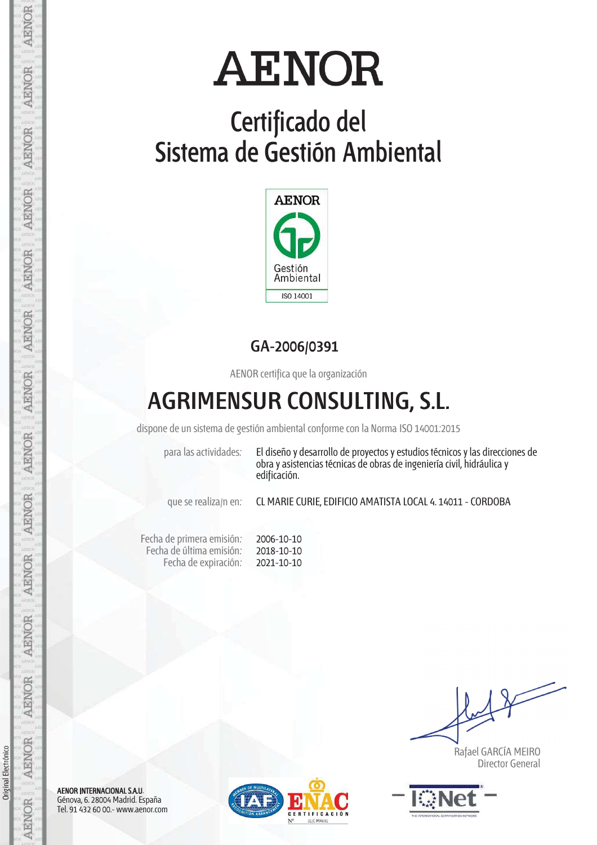## **Certificado del Sistema de Gestión Ambiental**



### **GA-2006/0391**

AENOR certifica que la organización

### **AGRIMENSUR CONSULTING, S.L.**

dispone de un sistema de gestión ambiental conforme con la Norma ISO 14001:2015

para las actividades: El diseño y desarrollo de proyectos y estudios técnicos y las direcciones de obra y asistencias técnicas de obras de ingeniería civil, hidráulica y edificación.

que se realiza/n en: CL MARIE CURIE, EDIFICIO AMATISTA LOCAL 4. 14011 - CORDOBA

Fecha de primera emisión: Fecha de última emisión: Fecha de expiración: 2006-10-10 2018-10-10 2021-10-10

 Rafael GARCÍA MEIRO Director General



AENOR INTERNACIONAL S.A.U. Génova, 6. 28004 Madrid. España Tel. 91 432 60 00.- www.aenor.com



Original Electrónico

Original Electrónico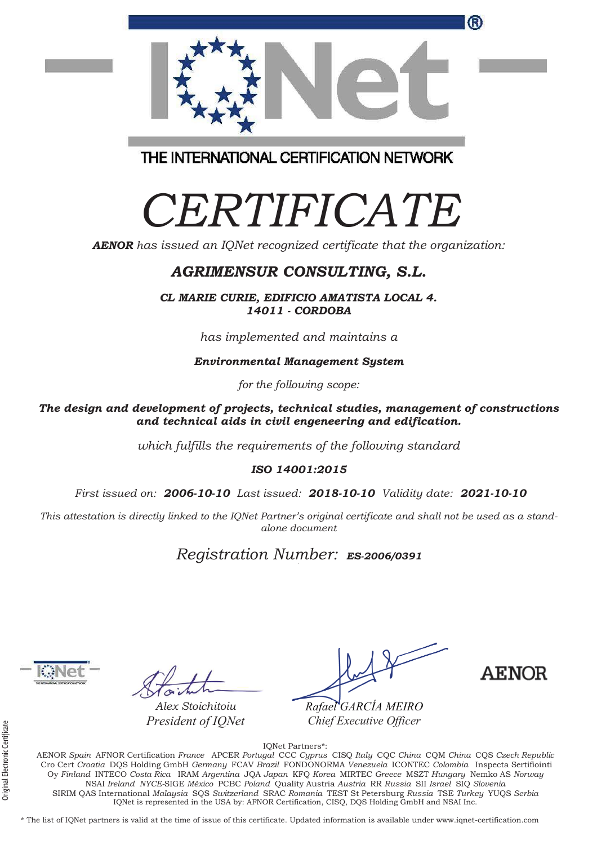

THE INTERNATIONAL CERTIFICATION NETWORK

# *CERTIFICATE*

*AENOR has issued an IQNet recognized certificate that the organization:* 

#### *AGRIMENSUR CONSULTING, S.L.*

*CL MARIE CURIE, EDIFICIO AMATISTA LOCAL 4. 14011 - CORDOBA* 

*has implemented and maintains a* 

*Environmental Management System* 

*for the following scope:* 

*The design and development of projects, technical studies, management of constructions and technical aids in civil engeneering and edification.* 

*which fulfills the requirements of the following standard* 

#### *ISO 14001:2015*

 *First issued on: 2006-10-10 Last issued: 2018-10-10 Validity date: 2021-10-10*

*This attestation is directly linked to the IQNet Partner's original certificate and shall not be used as a standalone document* 

### *Registration Number: ES-2006/0391* **<sup>a</sup>**

*Alex Stoichitoiu President of IQNet* 

*Rafael GARCÍA MEIRO MEIRO Chief Executive Officer*

AENOR

IQNet Partners\*: AENOR *Spain* AFNOR Certification *France* APCER *Portugal* CCC *Cyprus* CISQ *Italy* CQC *China* CQM *China* CQS *Czech Republic*  Cro Cert *Croatia* DQS Holding GmbH *Germany* FCAV *Brazil* FONDONORMA *Venezuela* ICONTEC *Colombia* Inspecta Sertifiointi Oy *Finland* INTECO *Costa Rica* IRAM *Argentina* JQA *Japan* KFQ *Korea* MIRTEC *Greece* MSZT *Hungary* Nemko AS *Norway*  NSAI *Ireland NYCE-*SIGE *México* PCBC *Poland* Quality Austria *Austria* RR *Russia* SII *Israel* SIQ *Slovenia*  SIRIM QAS International *Malaysia* SQS *Switzerland* SRAC *Romania* TEST St Petersburg *Russia* TSE *Turkey* YUQS *Serbia*  IQNet is represented in the USA by: AFNOR Certification, CISQ, DQS Holding GmbH and NSAI Inc.

\* The list of IQNet partners is valid at the time of issue of this certificate. Updated information is available under www.iqnet-certification.com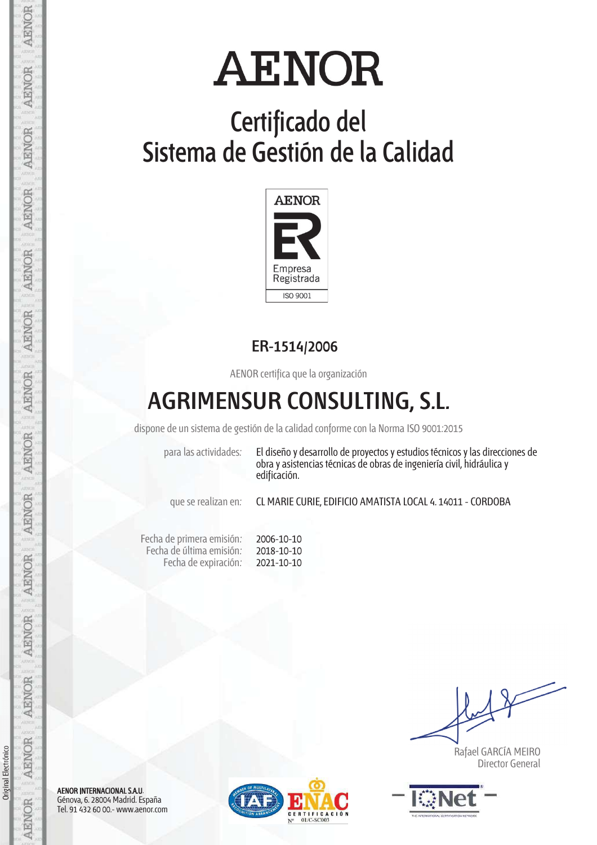## **Certificado del Sistema de Gestión de la Calidad**



### **ER-1514/2006**

AENOR certifica que la organización

### **AGRIMENSUR CONSULTING, S.L.**

dispone de un sistema de gestión de la calidad conforme con la Norma ISO 9001:2015

para las actividades: El diseño y desarrollo de proyectos y estudios técnicos y las direcciones de obra y asistencias técnicas de obras de ingeniería civil, hidráulica y edificación.

que se realizan en: CL MARIE CURIE, EDIFICIO AMATISTA LOCAL 4. 14011 - CORDOBA

Fecha de primera emisión: Fecha de última emisión: Fecha de expiración: 2006-10-10 2018-10-10 2021-10-10

 Rafael GARCÍA MEIRO Director General



AENOR INTERNACIONAL S.A.U. Génova, 6. 28004 Madrid. España Tel. 91 432 60 00.- www.aenor.com



Original Electrónico

Original Electrónico